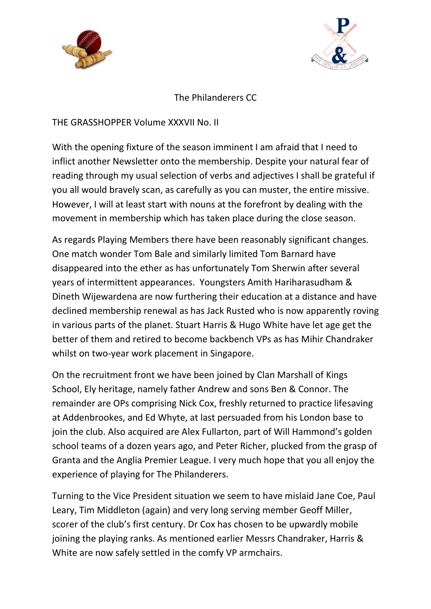



## The Philanderers CC

THE GRASSHOPPER Volume XXXVII No. II

With the opening fixture of the season imminent I am afraid that I need to inflict another Newsletter onto the membership. Despite your natural fear of reading through my usual selection of verbs and adjectives I shall be grateful if you all would bravely scan, as carefully as you can muster, the entire missive. However, I will at least start with nouns at the forefront by dealing with the movement in membership which has taken place during the close season.

As regards Playing Members there have been reasonably significant changes. One match wonder Tom Bale and similarly limited Tom Barnard have disappeared into the ether as has unfortunately Tom Sherwin after several years of intermittent appearances. Youngsters Amith Hariharasudham & Dineth Wijewardena are now furthering their education at a distance and have declined membership renewal as has Jack Rusted who is now apparently roving in various parts of the planet. Stuart Harris & Hugo White have let age get the better of them and retired to become backbench VPs as has Mihir Chandraker whilst on two-year work placement in Singapore.

On the recruitment front we have been joined by Clan Marshall of Kings School, Ely heritage, namely father Andrew and sons Ben & Connor. The remainder are OPs comprising Nick Cox, freshly returned to practice lifesaving at Addenbrookes, and Ed Whyte, at last persuaded from his London base to join the club. Also acquired are Alex Fullarton, part of Will Hammond's golden school teams of a dozen years ago, and Peter Richer, plucked from the grasp of Granta and the Anglia Premier League. I very much hope that you all enjoy the experience of playing for The Philanderers.

Turning to the Vice President situation we seem to have mislaid Jane Coe, Paul Leary, Tim Middleton (again) and very long serving member Geoff Miller, scorer of the club's first century. Dr Cox has chosen to be upwardly mobile joining the playing ranks. As mentioned earlier Messrs Chandraker, Harris & White are now safely settled in the comfy VP armchairs.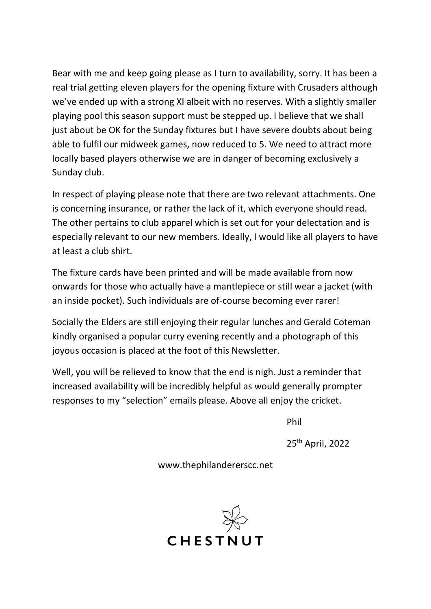Bear with me and keep going please as I turn to availability, sorry. It has been a real trial getting eleven players for the opening fixture with Crusaders although we've ended up with a strong XI albeit with no reserves. With a slightly smaller playing pool this season support must be stepped up. I believe that we shall just about be OK for the Sunday fixtures but I have severe doubts about being able to fulfil our midweek games, now reduced to 5. We need to attract more locally based players otherwise we are in danger of becoming exclusively a Sunday club.

In respect of playing please note that there are two relevant attachments. One is concerning insurance, or rather the lack of it, which everyone should read. The other pertains to club apparel which is set out for your delectation and is especially relevant to our new members. Ideally, I would like all players to have at least a club shirt.

The fixture cards have been printed and will be made available from now onwards for those who actually have a mantlepiece or still wear a jacket (with an inside pocket). Such individuals are of-course becoming ever rarer!

Socially the Elders are still enjoying their regular lunches and Gerald Coteman kindly organised a popular curry evening recently and a photograph of this joyous occasion is placed at the foot of this Newsletter.

Well, you will be relieved to know that the end is nigh. Just a reminder that increased availability will be incredibly helpful as would generally prompter responses to my "selection" emails please. Above all enjoy the cricket.

Phil

25th April, 2022

www.thephilandererscc.net